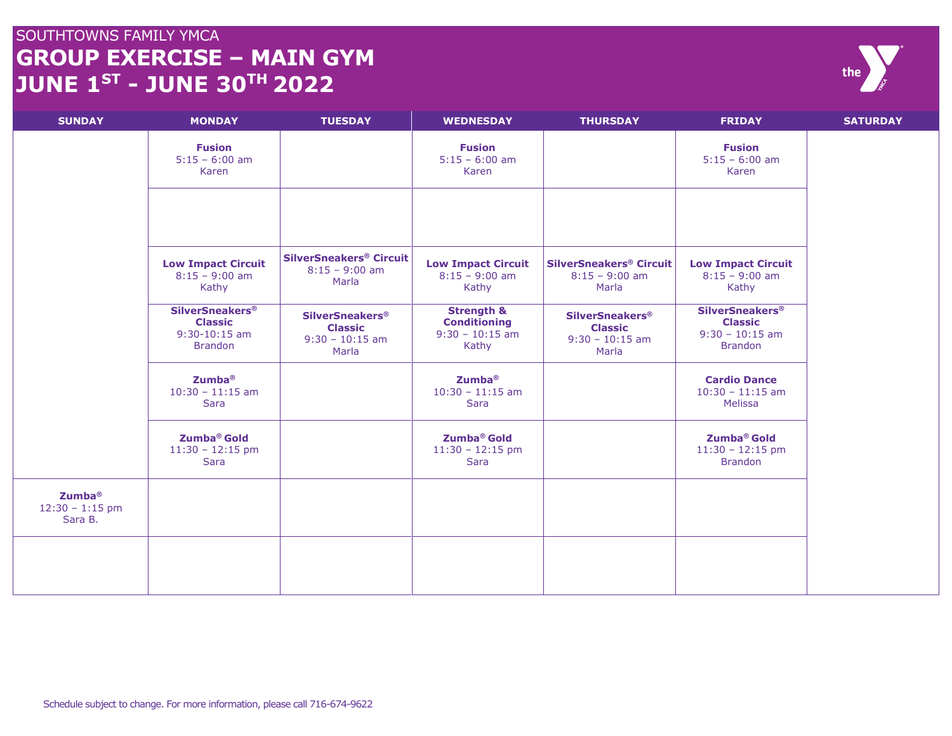## SOUTHTOWNS FAMILY YMCA **GROUP EXERCISE – MAIN GYM JUNE 1 ST - JUNE 30 TH 2022**



| <b>SUNDAY</b>                                      | <b>MONDAY</b>                                                                   | <b>TUESDAY</b>                                                                    | <b>WEDNESDAY</b>                                                           | <b>THURSDAY</b>                                                                   | <b>FRIDAY</b>                                                                   | <b>SATURDAY</b> |
|----------------------------------------------------|---------------------------------------------------------------------------------|-----------------------------------------------------------------------------------|----------------------------------------------------------------------------|-----------------------------------------------------------------------------------|---------------------------------------------------------------------------------|-----------------|
|                                                    | <b>Fusion</b><br>$5:15 - 6:00$ am<br>Karen                                      |                                                                                   | <b>Fusion</b><br>$5:15 - 6:00$ am<br>Karen                                 |                                                                                   | <b>Fusion</b><br>$5:15 - 6:00$ am<br>Karen                                      |                 |
|                                                    |                                                                                 |                                                                                   |                                                                            |                                                                                   |                                                                                 |                 |
|                                                    | <b>Low Impact Circuit</b><br>$8:15 - 9:00$ am<br>Kathy                          | <b>SilverSneakers® Circuit</b><br>$8:15 - 9:00$ am<br>Marla                       | <b>Low Impact Circuit</b><br>$8:15 - 9:00$ am<br>Kathy                     | <b>SilverSneakers® Circuit</b><br>$8:15 - 9:00$ am<br>Marla                       | <b>Low Impact Circuit</b><br>$8:15 - 9:00$ am<br>Kathy                          |                 |
|                                                    | <b>SilverSneakers®</b><br><b>Classic</b><br>$9:30 - 10:15$ am<br><b>Brandon</b> | <b>SilverSneakers<sup>®</sup></b><br><b>Classic</b><br>$9:30 - 10:15$ am<br>Marla | <b>Strength &amp;</b><br><b>Conditioning</b><br>$9:30 - 10:15$ am<br>Kathy | <b>SilverSneakers<sup>®</sup></b><br><b>Classic</b><br>$9:30 - 10:15$ am<br>Marla | <b>SilverSneakers®</b><br><b>Classic</b><br>$9:30 - 10:15$ am<br><b>Brandon</b> |                 |
|                                                    | Zumba <sup>®</sup><br>$10:30 - 11:15$ am<br>Sara                                |                                                                                   | Zumba <sup>®</sup><br>$10:30 - 11:15$ am<br>Sara                           |                                                                                   | <b>Cardio Dance</b><br>$10:30 - 11:15$ am<br><b>Melissa</b>                     |                 |
|                                                    | Zumba <sup>®</sup> Gold<br>$11:30 - 12:15$ pm<br>Sara                           |                                                                                   | Zumba <sup>®</sup> Gold<br>$11:30 - 12:15$ pm<br>Sara                      |                                                                                   | Zumba <sup>®</sup> Gold<br>$11:30 - 12:15$ pm<br><b>Brandon</b>                 |                 |
| Zumba <sup>®</sup><br>$12:30 - 1:15$ pm<br>Sara B. |                                                                                 |                                                                                   |                                                                            |                                                                                   |                                                                                 |                 |
|                                                    |                                                                                 |                                                                                   |                                                                            |                                                                                   |                                                                                 |                 |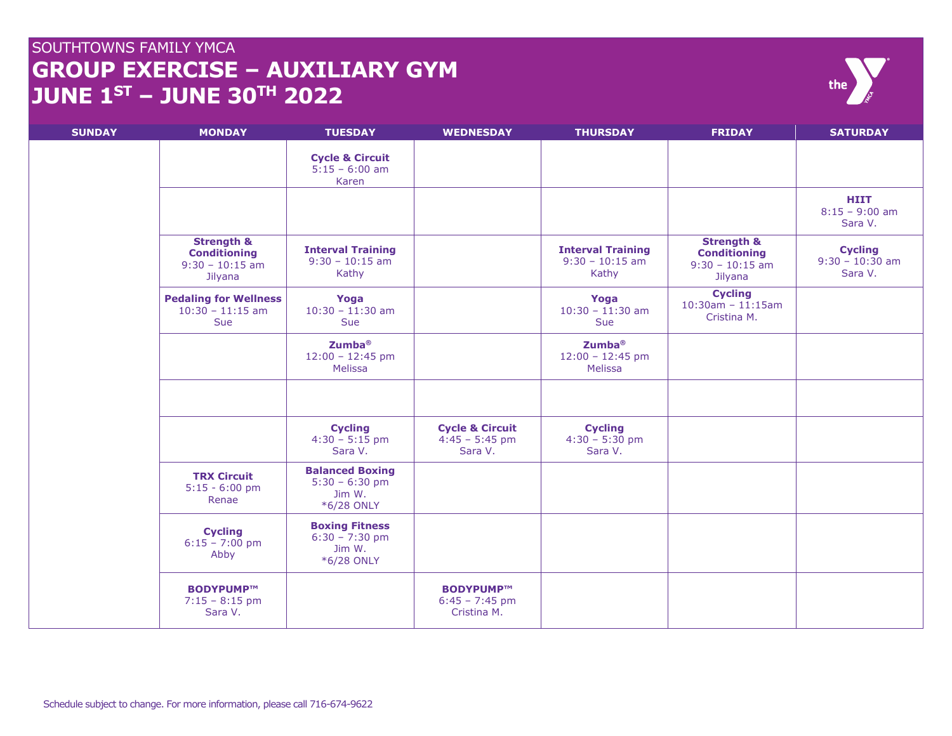## SOUTHTOWNS FAMILY YMCA **GROUP EXERCISE – AUXILIARY GYM JUNE 1 ST – JUNE 30 TH 2022**

| <b>SUNDAY</b> | <b>MONDAY</b>                                                                | <b>TUESDAY</b>                                                     | <b>WEDNESDAY</b>                                          | <b>THURSDAY</b>                                        | <b>FRIDAY</b>                                                                | <b>SATURDAY</b>                                |
|---------------|------------------------------------------------------------------------------|--------------------------------------------------------------------|-----------------------------------------------------------|--------------------------------------------------------|------------------------------------------------------------------------------|------------------------------------------------|
|               |                                                                              | <b>Cycle &amp; Circuit</b><br>$5:15 - 6:00$ am<br>Karen            |                                                           |                                                        |                                                                              |                                                |
|               |                                                                              |                                                                    |                                                           |                                                        |                                                                              | <b>HIIT</b><br>$8:15 - 9:00$ am<br>Sara V.     |
|               | <b>Strength &amp;</b><br><b>Conditioning</b><br>$9:30 - 10:15$ am<br>Jilyana | <b>Interval Training</b><br>$9:30 - 10:15$ am<br>Kathy             |                                                           | <b>Interval Training</b><br>$9:30 - 10:15$ am<br>Kathy | <b>Strength &amp;</b><br><b>Conditioning</b><br>$9:30 - 10:15$ am<br>Jilyana | <b>Cycling</b><br>$9:30 - 10:30$ am<br>Sara V. |
|               | <b>Pedaling for Wellness</b><br>$10:30 - 11:15$ am<br><b>Sue</b>             | Yoga<br>$10:30 - 11:30$ am<br><b>Sue</b>                           |                                                           | Yoga<br>$10:30 - 11:30$ am<br>Sue                      | <b>Cycling</b><br>$10:30$ am - 11:15am<br>Cristina M.                        |                                                |
|               |                                                                              | Zumba <sup>®</sup><br>$12:00 - 12:45$ pm<br>Melissa                |                                                           | <b>Zumba®</b><br>$12:00 - 12:45$ pm<br>Melissa         |                                                                              |                                                |
|               |                                                                              |                                                                    |                                                           |                                                        |                                                                              |                                                |
|               |                                                                              | <b>Cycling</b><br>$4:30 - 5:15$ pm<br>Sara V.                      | <b>Cycle &amp; Circuit</b><br>$4:45 - 5:45$ pm<br>Sara V. | <b>Cycling</b><br>$4:30 - 5:30$ pm<br>Sara V.          |                                                                              |                                                |
|               | <b>TRX Circuit</b><br>$5:15 - 6:00$ pm<br>Renae                              | <b>Balanced Boxing</b><br>$5:30 - 6:30$ pm<br>Jim W.<br>*6/28 ONLY |                                                           |                                                        |                                                                              |                                                |
|               | <b>Cycling</b><br>$6:15 - 7:00$ pm<br>Abby                                   | <b>Boxing Fitness</b><br>$6:30 - 7:30$ pm<br>Jim W.<br>*6/28 ONLY  |                                                           |                                                        |                                                                              |                                                |
|               | BODYPUMP™<br>$7:15 - 8:15$ pm<br>Sara V.                                     |                                                                    | BODYPUMP™<br>$6:45 - 7:45$ pm<br>Cristina M.              |                                                        |                                                                              |                                                |

the